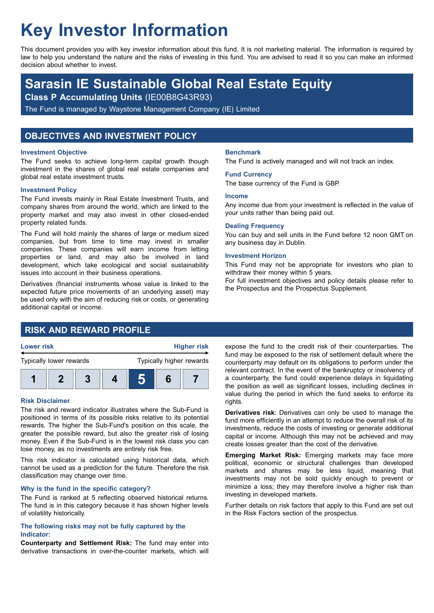# **Key Investor Information**

This document provides you with key investor information about this fund. It is not marketing material. The information is required by law to help you understand the nature and the risks of investing in this fund. You are advised to read it so you can make an informed decision about whether to invest.

# **Sarasin IE Sustainable Global Real Estate Equity**

**Class P Accumulating Units** (IE00B8G43R93)

The Fund is managed by Waystone Management Company (IE) Limited

## **OBJECTIVES AND INVESTMENT POLICY**

#### **Investment Objective**

The Fund seeks to achieve long-term capital growth though investment in the shares of global real estate companies and global real estate investment trusts.

#### **Investment Policy**

The Fund invests mainly in Real Estate Investment Trusts, and company shares from around the world, which are linked to the property market and may also invest in other closed-ended property related funds.

The Fund will hold mainly the shares of large or medium sized companies, but from time to time may invest in smaller companies. These companies will earn income from letting properties or land, and may also be involved in land development, which take ecological and social sustainability issues into account in their business operations.

Derivatives (financial instruments whose value is linked to the expected future price movements of an underlying asset) may be used only with the aim of reducing risk or costs, or generating additional capital or income.

# **RISK AND REWARD PROFILE**



#### **Risk Disclaimer**

The risk and reward indicator illustrates where the Sub-Fund is positioned in terms of its possible risks relative to its potential rewards. The higher the Sub-Fund's position on this scale, the greater the possible reward, but also the greater risk of losing money. Even if the Sub-Fund is in the lowest risk class you can lose money, as no investments are entirely risk free.

This risk indicator is calculated using historical data, which cannot be used as a prediction for the future. Therefore the risk classification may change over time.

#### **Why is the fund in the specific category?**

The Fund is ranked at 5 reflecting observed historical returns. The fund is in this category because it has shown higher levels of volatility historically.

#### **The following risks may not be fully captured by the Indicator:**

**Counterparty and Settlement Risk:** The fund may enter into derivative transactions in over-the-counter markets, which will

#### **Benchmark**

The Fund is actively managed and will not track an index.

#### **Fund Currency**

The base currency of the Fund is GBP.

#### **Income**

Any income due from your investment is reflected in the value of your units rather than being paid out.

#### **Dealing Frequency**

You can buy and sell units in the Fund before 12 noon GMT on any business day in Dublin.

#### **Investment Horizon**

This Fund may not be appropriate for investors who plan to withdraw their money within 5 years.

For full investment objectives and policy details please refer to the Prospectus and the Prospectus Supplement.

expose the fund to the credit risk of their counterparties. The fund may be exposed to the risk of settlement default where the counterparty may default on its obligations to perform under the relevant contract. In the event of the bankruptcy or insolvency of a counterparty, the fund could experience delays in liquidating the position as well as significant losses, including declines in value during the period in which the fund seeks to enforce its rights.

**Derivatives risk**: Derivatives can only be used to manage the fund more efficiently in an attempt to reduce the overall risk of its investments, reduce the costs of investing or generate additional capital or income. Although this may not be achieved and may create losses greater than the cost of the derivative.

**Emerging Market Risk:** Emerging markets may face more political, economic or structural challenges than developed markets and shares may be less liquid, meaning that investments may not be sold quickly enough to prevent or minimize a loss; they may therefore involve a higher risk than investing in developed markets.

Further details on risk factors that apply to this Fund are set out in the Risk Factors section of the prospectus.